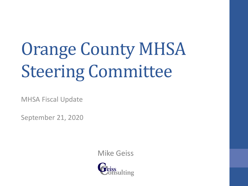# Orange County MHSA Steering Committee

MHSA Fiscal Update

September 21, 2020

Mike Geiss

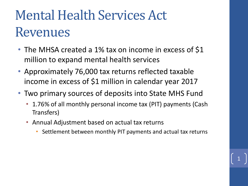- The MHSA created a 1% tax on income in excess of \$1 million to expand mental health services
- Approximately 76,000 tax returns reflected taxable income in excess of \$1 million in calendar year 2017
- Two primary sources of deposits into State MHS Fund
	- 1.76% of all monthly personal income tax (PIT) payments (Cash Transfers)
	- Annual Adjustment based on actual tax returns
		- Settlement between monthly PIT payments and actual tax returns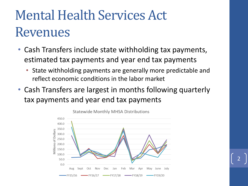- Cash Transfers include state withholding tax payments, estimated tax payments and year end tax payments
	- State withholding payments are generally more predictable and reflect economic conditions in the labor market
- Cash Transfers are largest in months following quarterly tax payments and year end tax payments

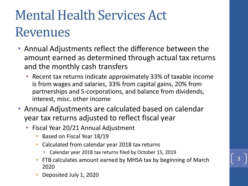- Annual Adjustments reflect the difference between the amount earned as determined through actual tax returns and the monthly cash transfers
	- Recent tax returns indicate approximately 33% of taxable income is from wages and salaries, 33% from capital gains, 20% from partnerships and S-corporations, and balance from dividends, interest, misc. other income
- Annual Adjustments are calculated based on calendar year tax returns adjusted to reflect fiscal year
	- Fiscal Year 20/21 Annual Adjustment
		- Based on Fiscal Year 18/19
		- Calculated from calendar year 2018 tax returns
			- Calendar year 2018 tax returns filed by October 15, 2019
		- FTB calculates amount earned by MHSA tax by beginning of March 2020
		- Deposited July 1, 2020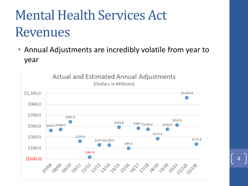• Annual Adjustments are incredibly volatile from year to year

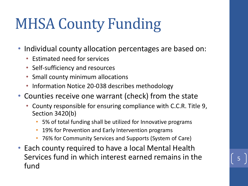# MHSA County Funding

- Individual county allocation percentages are based on:
	- Estimated need for services
	- Self-sufficiency and resources
	- Small county minimum allocations
	- Information Notice 20-038 describes methodology
- Counties receive one warrant (check) from the state
	- County responsible for ensuring compliance with C.C.R. Title 9, Section 3420(b)
		- 5% of total funding shall be utilized for Innovative programs
		- 19% for Prevention and Early Intervention programs
		- 76% for Community Services and Supports (System of Care)
- Each county required to have a local Mental Health Services fund in which interest earned remains in the fund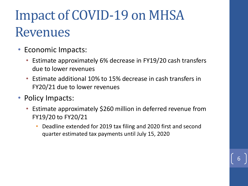### Impact of COVID-19 on MHSA Revenues

- Economic Impacts:
	- Estimate approximately 6% decrease in FY19/20 cash transfers due to lower revenues
	- Estimate additional 10% to 15% decrease in cash transfers in FY20/21 due to lower revenues
- Policy Impacts:
	- Estimate approximately \$260 million in deferred revenue from FY19/20 to FY20/21
		- Deadline extended for 2019 tax filing and 2020 first and second quarter estimated tax payments until July 15, 2020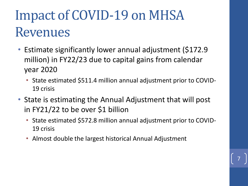### Impact of COVID-19 on MHSA Revenues

- Estimate significantly lower annual adjustment (\$172.9 million) in FY22/23 due to capital gains from calendar year 2020
	- State estimated \$511.4 million annual adjustment prior to COVID-19 crisis
- State is estimating the Annual Adjustment that will post in FY21/22 to be over \$1 billion
	- State estimated \$572.8 million annual adjustment prior to COVID-19 crisis

7

• Almost double the largest historical Annual Adjustment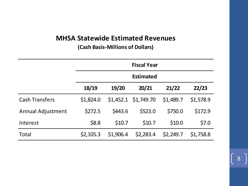#### **MHSA Statewide Estimated Revenues**

**(Cash Basis-Millions of Dollars)**

|                          | <b>Fiscal Year</b> |           |                      |           |           |  |  |
|--------------------------|--------------------|-----------|----------------------|-----------|-----------|--|--|
|                          | <b>Estimated</b>   |           |                      |           |           |  |  |
|                          | 18/19              | 19/20     | 20/21                | 21/22     | 22/23     |  |  |
| <b>Cash Transfers</b>    | \$1,824.0          |           | \$1,452.1 \$1,749.70 | \$1,489.7 | \$1,578.9 |  |  |
| <b>Annual Adjustment</b> | \$272.5            | \$443.6   | \$523.0              | \$750.0   | \$172.9   |  |  |
| Interest                 | \$8.8              | \$10.7    | \$10.7               | \$10.0    | \$7.0     |  |  |
| <b>Total</b>             | \$2,105.3          | \$1,906.4 | \$2,283.4            | \$2,249.7 | \$1,758.8 |  |  |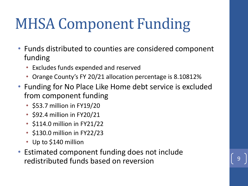# MHSA Component Funding

- Funds distributed to counties are considered component funding
	- Excludes funds expended and reserved
	- Orange County's FY 20/21 allocation percentage is 8.10812%
- Funding for No Place Like Home debt service is excluded from component funding
	- \$53.7 million in FY19/20
	- \$92.4 million in FY20/21
	- \$114.0 million in FY21/22
	- \$130.0 million in FY22/23
	- Up to \$140 million
- Estimated component funding does not include redistributed funds based on reversion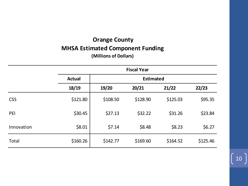#### **Orange County MHSA Estimated Component Funding (Millions of Dollars)**

|            | <b>Fiscal Year</b>                |          |          |          |          |  |  |  |
|------------|-----------------------------------|----------|----------|----------|----------|--|--|--|
|            | <b>Estimated</b><br><b>Actual</b> |          |          |          |          |  |  |  |
|            | 18/19                             | 19/20    | 20/21    | 21/22    | 22/23    |  |  |  |
| <b>CSS</b> | \$121.80                          | \$108.50 | \$128.90 | \$125.03 | \$95.35  |  |  |  |
| PEI        | \$30.45                           | \$27.13  | \$32.22  | \$31.26  | \$23.84  |  |  |  |
| Innovation | \$8.01                            | \$7.14   | \$8.48   | \$8.23   | \$6.27   |  |  |  |
| Total      | \$160.26                          | \$142.77 | \$169.60 | \$164.52 | \$125.46 |  |  |  |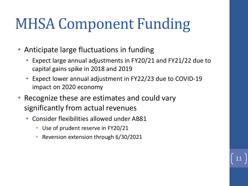# MHSA Component Funding

- Anticipate large fluctuations in funding
	- Expect large annual adjustments in FY20/21 and FY21/22 due to capital gains spike in 2018 and 2019

- Expect lower annual adjustment in FY22/23 due to COVID-19 impact on 2020 economy
- Recognize these are estimates and could vary significantly from actual revenues
	- Consider flexibilities allowed under AB81
		- Use of prudent reserve in FY20/21
		- Reversion extension through 6/30/2021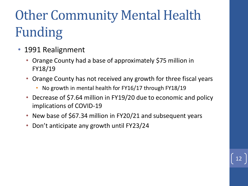# Other Community Mental Health Funding

- 1991 Realignment
	- Orange County had a base of approximately \$75 million in FY18/19
	- Orange County has not received any growth for three fiscal years
		- No growth in mental health for FY16/17 through FY18/19
	- Decrease of \$7.64 million in FY19/20 due to economic and policy implications of COVID-19

- New base of \$67.34 million in FY20/21 and subsequent years
- Don't anticipate any growth until FY23/24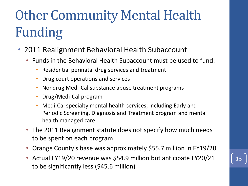# Other Community Mental Health Funding

- 2011 Realignment Behavioral Health Subaccount
	- Funds in the Behavioral Health Subaccount must be used to fund:
		- Residential perinatal drug services and treatment
		- Drug court operations and services
		- Nondrug Medi-Cal substance abuse treatment programs
		- Drug/Medi-Cal program
		- Medi-Cal specialty mental health services, including Early and Periodic Screening, Diagnosis and Treatment program and mental health managed care
	- The 2011 Realignment statute does not specify how much needs to be spent on each program
	- Orange County's base was approximately \$55.7 million in FY19/20
	- Actual FY19/20 revenue was \$54.9 million but anticipate FY20/21 to be significantly less (\$45.6 million)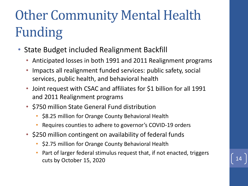# Other Community Mental Health Funding

- State Budget included Realignment Backfill
	- Anticipated losses in both 1991 and 2011 Realignment programs
	- Impacts all realignment funded services: public safety, social services, public health, and behavioral health
	- Joint request with CSAC and affiliates for \$1 billion for all 1991 and 2011 Realignment programs
	- \$750 million State General Fund distribution
		- \$8.25 million for Orange County Behavioral Health
		- Requires counties to adhere to governor's COVID-19 orders
	- \$250 million contingent on availability of federal funds
		- \$2.75 million for Orange County Behavioral Health
		- Part of larger federal stimulus request that, if not enacted, triggers cuts by October 15, 2020